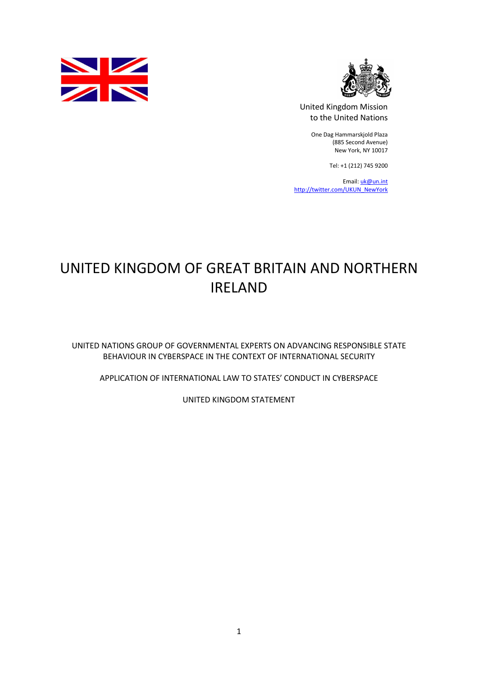



 United Kingdom Mission to the United Nations

> One Dag Hammarskjold Plaza (885 Second Avenue) New York, NY 10017

> > Tel: +1 (212) 745 9200

Email: [uk@un.int](mailto:uk@un.int) [http://twitter.com/UKUN\\_NewYork](http://twitter.com/UKUN_NewYork)

# UNITED KINGDOM OF GREAT BRITAIN AND NORTHERN IRELAND

 UNITED NATIONS GROUP OF GOVERNMENTAL EXPERTS ON ADVANCING RESPONSIBLE STATE BEHAVIOUR IN CYBERSPACE IN THE CONTEXT OF INTERNATIONAL SECURITY

APPLICATION OF INTERNATIONAL LAW TO STATES' CONDUCT IN CYBERSPACE

UNITED KINGDOM STATEMENT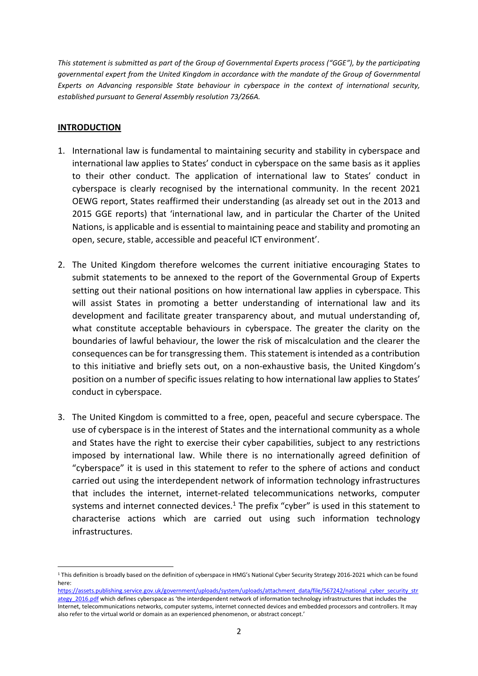This statement is submitted as part of the Group of Governmental Experts process ("GGE"), by the participating governmental expert from the United Kingdom in accordance with the mandate of the Group of Governmental Experts on Advancing responsible State behaviour in cyberspace in the context of international security, established pursuant to General Assembly resolution 73/266A.

## **INTRODUCTION**

 $\overline{a}$ 

- 1. International law is fundamental to maintaining security and stability in cyberspace and international law applies to States' conduct in cyberspace on the same basis as it applies to their other conduct. The application of international law to States' conduct in cyberspace is clearly recognised by the international community. In the recent 2021 OEWG report, States reaffirmed their understanding (as already set out in the 2013 and 2015 GGE reports) that 'international law, and in particular the Charter of the United Nations, is applicable and is essential to maintaining peace and stability and promoting an open, secure, stable, accessible and peaceful ICT environment'.
- 2. The United Kingdom therefore welcomes the current initiative encouraging States to submit statements to be annexed to the report of the Governmental Group of Experts setting out their national positions on how international law applies in cyberspace. This will assist States in promoting a better understanding of international law and its development and facilitate greater transparency about, and mutual understanding of, what constitute acceptable behaviours in cyberspace. The greater the clarity on the boundaries of lawful behaviour, the lower the risk of miscalculation and the clearer the consequences can be for transgressing them. This statement is intended as a contribution to this initiative and briefly sets out, on a non-exhaustive basis, the United Kingdom's position on a number of specific issues relating to how international law applies to States' conduct in cyberspace.
- 3. The United Kingdom is committed to a free, open, peaceful and secure cyberspace. The use of cyberspace is in the interest of States and the international community as a whole and States have the right to exercise their cyber capabilities, subject to any restrictions imposed by international law. While there is no internationally agreed definition of "cyberspace" it is used in this statement to refer to the sphere of actions and conduct carried out using the interdependent network of information technology infrastructures that includes the internet, internet-related telecommunications networks, computer systems and internet connected devices.<sup>1</sup> The prefix "cyber" is used in this statement to characterise actions which are carried out using such information technology infrastructures.

ategy\_2016.pdf which defines cyberspace as 'the interdependent network of information technology infrastructures that includes the Internet, telecommunications networks, computer systems, internet connected devices and embedded processors and controllers. It may also refer to the virtual world or domain as an experienced phenomenon, or abstract concept.' [https://assets.publishing.service.gov.uk/government/uploads/system/uploads/attachment\\_data/file/567242/national\\_cyber\\_security\\_str](https://assets.publishing.service.gov.uk/government/uploads/system/uploads/attachment_data/file/567242/national_cyber_security_str)

<sup>&</sup>lt;sup>1</sup> This definition is broadly based on the definition of cyberspace in HMG's National Cyber Security Strategy 2016-2021 which can be found here: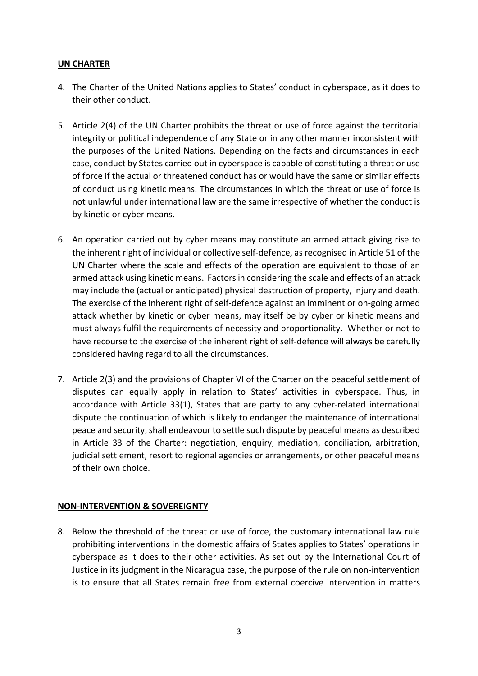## UN CHARTER

- 4. The Charter of the United Nations applies to States' conduct in cyberspace, as it does to their other conduct.
- 5. Article 2(4) of the UN Charter prohibits the threat or use of force against the territorial integrity or political independence of any State or in any other manner inconsistent with the purposes of the United Nations. Depending on the facts and circumstances in each case, conduct by States carried out in cyberspace is capable of constituting a threat or use of force if the actual or threatened conduct has or would have the same or similar effects of conduct using kinetic means. The circumstances in which the threat or use of force is not unlawful under international law are the same irrespective of whether the conduct is by kinetic or cyber means.
- 6. An operation carried out by cyber means may constitute an armed attack giving rise to the inherent right of individual or collective self-defence, as recognised in Article 51 of the UN Charter where the scale and effects of the operation are equivalent to those of an armed attack using kinetic means. Factors in considering the scale and effects of an attack may include the (actual or anticipated) physical destruction of property, injury and death. The exercise of the inherent right of self-defence against an imminent or on-going armed attack whether by kinetic or cyber means, may itself be by cyber or kinetic means and must always fulfil the requirements of necessity and proportionality. Whether or not to have recourse to the exercise of the inherent right of self-defence will always be carefully considered having regard to all the circumstances.
- 7. Article 2(3) and the provisions of Chapter VI of the Charter on the peaceful settlement of disputes can equally apply in relation to States' activities in cyberspace. Thus, in accordance with Article 33(1), States that are party to any cyber-related international dispute the continuation of which is likely to endanger the maintenance of international peace and security, shall endeavour to settle such dispute by peaceful means as described in Article 33 of the Charter: negotiation, enquiry, mediation, conciliation, arbitration, judicial settlement, resort to regional agencies or arrangements, or other peaceful means of their own choice.

#### NON-INTERVENTION & SOVEREIGNTY

 8. Below the threshold of the threat or use of force, the customary international law rule prohibiting interventions in the domestic affairs of States applies to States' operations in cyberspace as it does to their other activities. As set out by the International Court of Justice in its judgment in the Nicaragua case, the purpose of the rule on non-intervention is to ensure that all States remain free from external coercive intervention in matters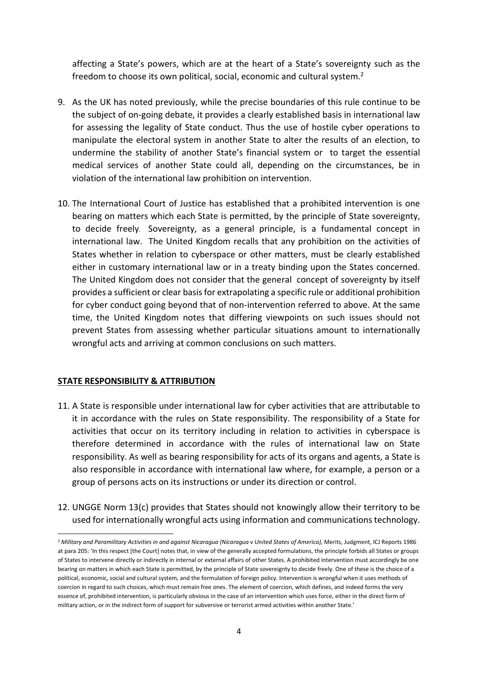affecting a State's powers, which are at the heart of a State's sovereignty such as the freedom to choose its own political, social, economic and cultural system.<sup>2</sup>

- 9. As the UK has noted previously, while the precise boundaries of this rule continue to be the subject of on-going debate, it provides a clearly established basis in international law for assessing the legality of State conduct. Thus the use of hostile cyber operations to manipulate the electoral system in another State to alter the results of an election, to undermine the stability of another State's financial system or to target the essential medical services of another State could all, depending on the circumstances, be in violation of the international law prohibition on intervention.
- 10. The International Court of Justice has established that a prohibited intervention is one bearing on matters which each State is permitted, by the principle of State sovereignty, to decide freely. Sovereignty, as a general principle, is a fundamental concept in international law. The United Kingdom recalls that any prohibition on the activities of States whether in relation to cyberspace or other matters, must be clearly established either in customary international law or in a treaty binding upon the States concerned. The United Kingdom does not consider that the general concept of sovereignty by itself provides a sufficient or clear basisfor extrapolating a specific rule or additional prohibition for cyber conduct going beyond that of non-intervention referred to above. At the same time, the United Kingdom notes that differing viewpoints on such issues should not prevent States from assessing whether particular situations amount to internationally wrongful acts and arriving at common conclusions on such matters.

#### STATE RESPONSIBILITY & ATTRIBUTION

 $\overline{a}$ 

- 11. A State is responsible under international law for cyber activities that are attributable to it in accordance with the rules on State responsibility. The responsibility of a State for activities that occur on its territory including in relation to activities in cyberspace is therefore determined in accordance with the rules of international law on State responsibility. As well as bearing responsibility for acts of its organs and agents, a State is also responsible in accordance with international law where, for example, a person or a group of persons acts on its instructions or under its direction or control.
- 12. UNGGE Norm 13(c) provides that States should not knowingly allow their territory to be used for internationally wrongful acts using information and communications technology.

 at para 205: 'In this respect [the Court] notes that, in view of the generally accepted formulations, the principle forbids all States or groups of States to intervene directly or indirectly in internal or external affairs of other States. A prohibited intervention must accordingly be one bearing on matters in which each State is permitted, by the principle of State sovereignty to decide freely. One of these is the choice of a political, economic, social and cultural system, and the formulation of foreign policy. Intervention is wrongful when it uses methods of coercion in regard to such choices, which must remain free ones. The element of coercion, which defines, and indeed forms the very essence of, prohibited intervention, is particularly obvious in the case of an intervention which uses force, either in the direct form of military action, or in the indirect form of support for subversive or terrorist armed activities within another State.' <sup>2</sup> Military and Paramilitary Activities in and against Nicaragua (Nicaragua v United States of America), Merits, Judgment, ICJ Reports 1986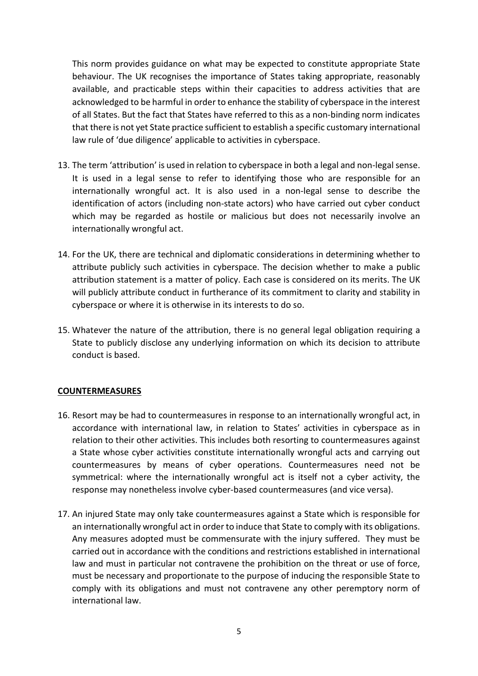This norm provides guidance on what may be expected to constitute appropriate State behaviour. The UK recognises the importance of States taking appropriate, reasonably available, and practicable steps within their capacities to address activities that are acknowledged to be harmful in order to enhance the stability of cyberspace in the interest of all States. But the fact that States have referred to this as a non-binding norm indicates that there is not yet State practice sufficient to establish a specific customary international law rule of 'due diligence' applicable to activities in cyberspace.

- 13. The term 'attribution' is used in relation to cyberspace in both a legal and non-legal sense. It is used in a legal sense to refer to identifying those who are responsible for an internationally wrongful act. It is also used in a non-legal sense to describe the identification of actors (including non-state actors) who have carried out cyber conduct which may be regarded as hostile or malicious but does not necessarily involve an internationally wrongful act.
- 14. For the UK, there are technical and diplomatic considerations in determining whether to attribute publicly such activities in cyberspace. The decision whether to make a public attribution statement is a matter of policy. Each case is considered on its merits. The UK will publicly attribute conduct in furtherance of its commitment to clarity and stability in cyberspace or where it is otherwise in its interests to do so.
- 15. Whatever the nature of the attribution, there is no general legal obligation requiring a State to publicly disclose any underlying information on which its decision to attribute conduct is based.

#### COUNTERMEASURES

- 16. Resort may be had to countermeasures in response to an internationally wrongful act, in accordance with international law, in relation to States' activities in cyberspace as in relation to their other activities. This includes both resorting to countermeasures against a State whose cyber activities constitute internationally wrongful acts and carrying out countermeasures by means of cyber operations. Countermeasures need not be symmetrical: where the internationally wrongful act is itself not a cyber activity, the response may nonetheless involve cyber-based countermeasures (and vice versa).
- 17. An injured State may only take countermeasures against a State which is responsible for an internationally wrongful act in order to induce that State to comply with its obligations. Any measures adopted must be commensurate with the injury suffered. They must be carried out in accordance with the conditions and restrictions established in international law and must in particular not contravene the prohibition on the threat or use of force, must be necessary and proportionate to the purpose of inducing the responsible State to comply with its obligations and must not contravene any other peremptory norm of international law.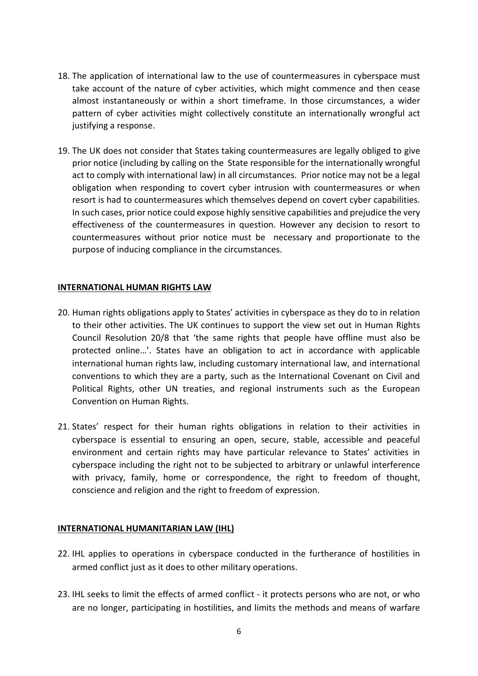- 18. The application of international law to the use of countermeasures in cyberspace must take account of the nature of cyber activities, which might commence and then cease almost instantaneously or within a short timeframe. In those circumstances, a wider pattern of cyber activities might collectively constitute an internationally wrongful act justifying a response.
- 19. The UK does not consider that States taking countermeasures are legally obliged to give prior notice (including by calling on the State responsible for the internationally wrongful act to comply with international law) in all circumstances. Prior notice may not be a legal obligation when responding to covert cyber intrusion with countermeasures or when resort is had to countermeasures which themselves depend on covert cyber capabilities. In such cases, prior notice could expose highly sensitive capabilities and prejudice the very effectiveness of the countermeasures in question. However any decision to resort to countermeasures without prior notice must be necessary and proportionate to the purpose of inducing compliance in the circumstances.

# INTERNATIONAL HUMAN RIGHTS LAW

- 20. Human rights obligations apply to States' activities in cyberspace as they do to in relation to their other activities. The UK continues to support the view set out in Human Rights Council Resolution 20/8 that 'the same rights that people have offline must also be protected online…'. States have an obligation to act in accordance with applicable international human rights law, including customary international law, and international conventions to which they are a party, such as the International Covenant on Civil and Political Rights, other UN treaties, and regional instruments such as the European Convention on Human Rights.
- 21. States' respect for their human rights obligations in relation to their activities in cyberspace is essential to ensuring an open, secure, stable, accessible and peaceful environment and certain rights may have particular relevance to States' activities in with privacy, family, home or correspondence, the right to freedom of thought, conscience and religion and the right to freedom of expression. cyberspace including the right not to be subjected to arbitrary or unlawful interference

#### INTERNATIONAL HUMANITARIAN LAW (IHL)

- 22. IHL applies to operations in cyberspace conducted in the furtherance of hostilities in armed conflict just as it does to other military operations.
- 23. IHL seeks to limit the effects of armed conflict it protects persons who are not, or who are no longer, participating in hostilities, and limits the methods and means of warfare